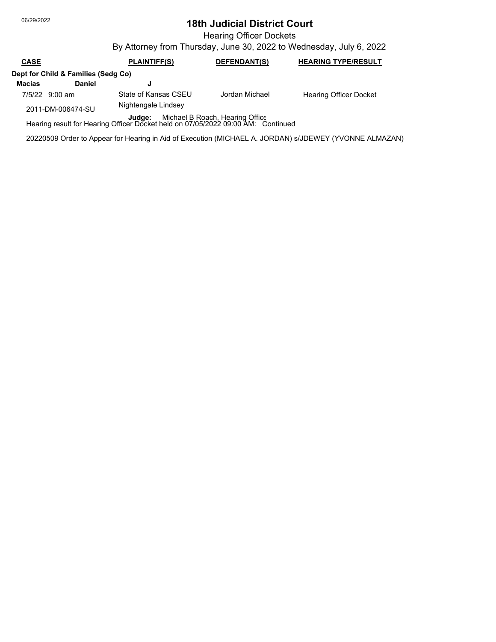## 06/29/2022 **18th Judicial District Court**

Hearing Officer Dockets

By Attorney from Thursday, June 30, 2022 to Wednesday, July 6, 2022

## **CASE PLAINTIFF(S) DEFENDANT(S) HEARING TYPE/RESULT Dept for Child & Families (Sedg Co) Macias Daniel J**

7/5/22 9:00 am State of Kansas CSEU

2011-DM-006474-SU

Jordan Michael Hearing Officer Docket

Nightengale Lindsey

**Judge:** Michael B Roach, Hearing Office<br>Hearing result for Hearing Officer Docket held on 07/05/2022 09:00 AM: Continued

20220509 Order to Appear for Hearing in Aid of Execution (MICHAEL A. JORDAN) s/JDEWEY (YVONNE ALMAZAN)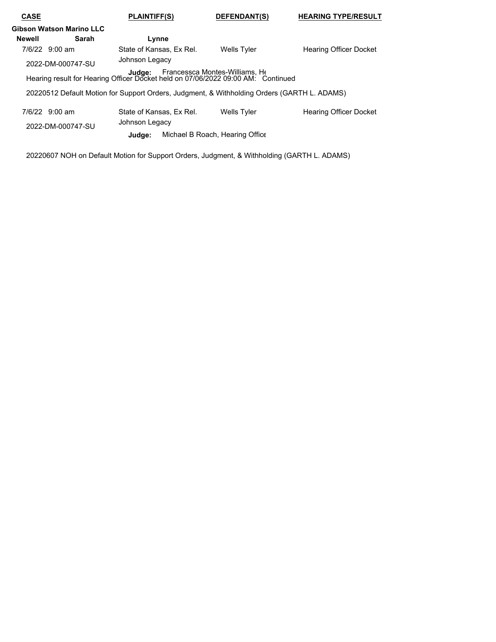| <b>CASE</b>                                                                                                                  |                          | PLAINTIFF(S)                                                                                | DEFENDANT(S)                    | <b>HEARING TYPE/RESULT</b>    |  |
|------------------------------------------------------------------------------------------------------------------------------|--------------------------|---------------------------------------------------------------------------------------------|---------------------------------|-------------------------------|--|
|                                                                                                                              | Gibson Watson Marino LLC |                                                                                             |                                 |                               |  |
| <b>Newell</b>                                                                                                                | Sarah                    | Lynne                                                                                       |                                 |                               |  |
|                                                                                                                              | 7/6/22 9:00 am           | State of Kansas, Ex Rel.                                                                    | <b>Wells Tyler</b>              | <b>Hearing Officer Docket</b> |  |
|                                                                                                                              | 2022-DM-000747-SU        | Johnson Legacy                                                                              |                                 |                               |  |
| Francessca Montes-Williams, He<br>Judge:<br>Hearing result for Hearing Officer Docket held on 07/06/2022 09:00 AM. Continued |                          |                                                                                             |                                 |                               |  |
|                                                                                                                              |                          | 20220512 Default Motion for Support Orders, Judgment, & Withholding Orders (GARTH L. ADAMS) |                                 |                               |  |
|                                                                                                                              | $7/6/22$ 9:00 am         | State of Kansas, Ex Rel.                                                                    | <b>Wells Tyler</b>              | <b>Hearing Officer Docket</b> |  |
|                                                                                                                              | 2022-DM-000747-SU        | Johnson Legacy                                                                              |                                 |                               |  |
|                                                                                                                              |                          | Judge:                                                                                      | Michael B Roach, Hearing Office |                               |  |

20220607 NOH on Default Motion for Support Orders, Judgment, & Withholding (GARTH L. ADAMS)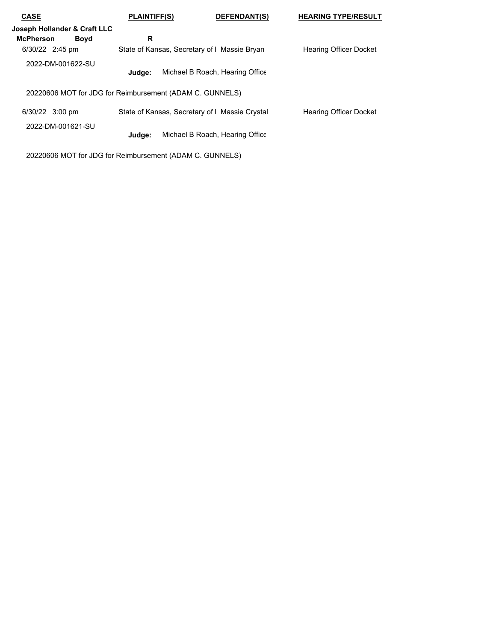| <b>CASE</b>                                              | <b>PLAINTIFF(S)</b>                            | DEFENDANT(S)                    | <b>HEARING TYPE/RESULT</b>    |
|----------------------------------------------------------|------------------------------------------------|---------------------------------|-------------------------------|
| Joseph Hollander & Craft LLC                             |                                                |                                 |                               |
| <b>Boyd</b><br><b>McPherson</b>                          | R                                              |                                 |                               |
| 6/30/22 2:45 pm                                          | State of Kansas, Secretary of I Massie Bryan   |                                 | <b>Hearing Officer Docket</b> |
| 2022-DM-001622-SU                                        | Judae:                                         | Michael B Roach, Hearing Office |                               |
| 20220606 MOT for JDG for Reimbursement (ADAM C. GUNNELS) |                                                |                                 |                               |
| 6/30/22 3:00 pm                                          | State of Kansas, Secretary of I Massie Crystal |                                 | <b>Hearing Officer Docket</b> |
| 2022-DM-001621-SU                                        | Judge:                                         | Michael B Roach, Hearing Office |                               |

20220606 MOT for JDG for Reimbursement (ADAM C. GUNNELS)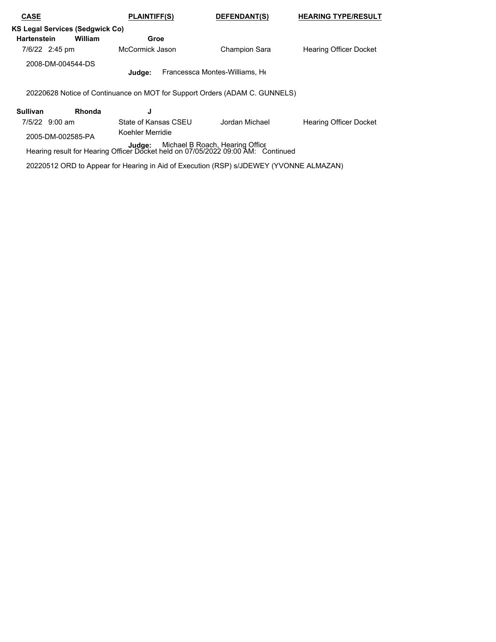| <b>CASE</b>                                                                                                                   | <b>PLAINTIFF(S)</b><br><b>DEFENDANT(S)</b>                                 |  |                      | <b>HEARING TYPE/RESULT</b>    |  |  |  |
|-------------------------------------------------------------------------------------------------------------------------------|----------------------------------------------------------------------------|--|----------------------|-------------------------------|--|--|--|
| <b>KS Legal Services (Sedgwick Co)</b>                                                                                        |                                                                            |  |                      |                               |  |  |  |
| <b>Hartenstein</b>                                                                                                            | William<br>Groe                                                            |  |                      |                               |  |  |  |
| 7/6/22 2:45 pm                                                                                                                | McCormick Jason                                                            |  | <b>Champion Sara</b> | <b>Hearing Officer Docket</b> |  |  |  |
|                                                                                                                               | 2008-DM-004544-DS<br>Francessca Montes-Williams, He<br>Judge:              |  |                      |                               |  |  |  |
|                                                                                                                               | 20220628 Notice of Continuance on MOT for Support Orders (ADAM C. GUNNELS) |  |                      |                               |  |  |  |
| <b>Sullivan</b>                                                                                                               | <b>Rhonda</b><br>J                                                         |  |                      |                               |  |  |  |
| 7/5/22 9:00 am                                                                                                                | State of Kansas CSFU                                                       |  | Jordan Michael       | <b>Hearing Officer Docket</b> |  |  |  |
| 2005-DM-002585-PA                                                                                                             |                                                                            |  |                      |                               |  |  |  |
| Michael B Roach, Hearing Office<br>Judge:<br>Hearing result for Hearing Officer Docket held on 07/05/2022 09:00 AM: Continued |                                                                            |  |                      |                               |  |  |  |

20220512 ORD to Appear for Hearing in Aid of Execution (RSP) s/JDEWEY (YVONNE ALMAZAN)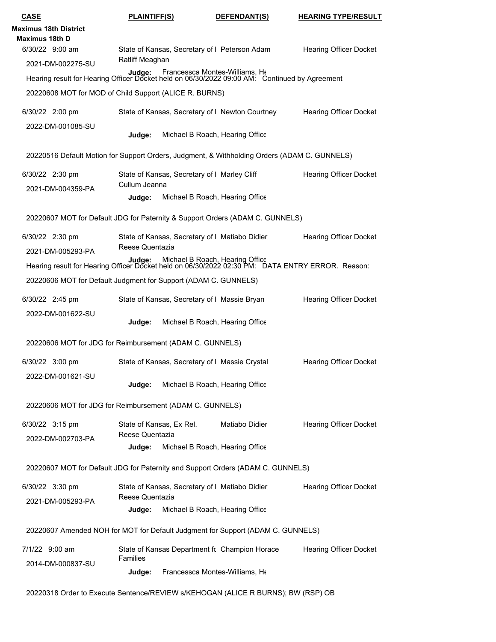| <b>CASE</b>                                                                                                                                | <b>PLAINTIFF(S)</b>                                                                                                                    | DEFENDANT(S)                    | <b>HEARING TYPE/RESULT</b>    |  |  |  |
|--------------------------------------------------------------------------------------------------------------------------------------------|----------------------------------------------------------------------------------------------------------------------------------------|---------------------------------|-------------------------------|--|--|--|
| <b>Maximus 18th District</b><br><b>Maximus 18th D</b>                                                                                      |                                                                                                                                        |                                 |                               |  |  |  |
| 6/30/22 9:00 am                                                                                                                            | State of Kansas, Secretary of I Peterson Adam                                                                                          |                                 | <b>Hearing Officer Docket</b> |  |  |  |
| 2021-DM-002275-SU                                                                                                                          | Ratliff Meaghan                                                                                                                        |                                 |                               |  |  |  |
|                                                                                                                                            | Judge: Francessca Montes-Williams, Ht<br>Hearing result for Hearing Officer Docket held on 06/30/2022 09:00 AM: Continued by Agreement |                                 |                               |  |  |  |
|                                                                                                                                            | 20220608 MOT for MOD of Child Support (ALICE R. BURNS)                                                                                 |                                 |                               |  |  |  |
| 6/30/22 2:00 pm                                                                                                                            | State of Kansas, Secretary of I Newton Courtney                                                                                        |                                 | <b>Hearing Officer Docket</b> |  |  |  |
| 2022-DM-001085-SU                                                                                                                          | Judge:                                                                                                                                 | Michael B Roach, Hearing Office |                               |  |  |  |
|                                                                                                                                            | 20220516 Default Motion for Support Orders, Judgment, & Withholding Orders (ADAM C. GUNNELS)                                           |                                 |                               |  |  |  |
| 6/30/22 2:30 pm                                                                                                                            | State of Kansas, Secretary of I Marley Cliff                                                                                           |                                 | <b>Hearing Officer Docket</b> |  |  |  |
| 2021-DM-004359-PA                                                                                                                          | Cullum Jeanna                                                                                                                          |                                 |                               |  |  |  |
|                                                                                                                                            | Judge:                                                                                                                                 | Michael B Roach, Hearing Office |                               |  |  |  |
|                                                                                                                                            | 20220607 MOT for Default JDG for Paternity & Support Orders (ADAM C. GUNNELS)                                                          |                                 |                               |  |  |  |
| 6/30/22 2:30 pm                                                                                                                            | State of Kansas, Secretary of I Matiabo Didier                                                                                         |                                 | <b>Hearing Officer Docket</b> |  |  |  |
| 2021-DM-005293-PA                                                                                                                          | Reese Quentazia                                                                                                                        |                                 |                               |  |  |  |
| Judge: Michael B Roach, Hearing Office<br>Hearing result for Hearing Officer Docket held on 06/30/2022 02:30 PM: DATA ENTRY ERROR. Reason: |                                                                                                                                        |                                 |                               |  |  |  |
|                                                                                                                                            | 20220606 MOT for Default Judgment for Support (ADAM C. GUNNELS)                                                                        |                                 |                               |  |  |  |
| 6/30/22 2:45 pm                                                                                                                            | State of Kansas, Secretary of I Massie Bryan                                                                                           |                                 | <b>Hearing Officer Docket</b> |  |  |  |
| 2022-DM-001622-SU                                                                                                                          | Judge:                                                                                                                                 | Michael B Roach, Hearing Office |                               |  |  |  |
|                                                                                                                                            | 20220606 MOT for JDG for Reimbursement (ADAM C. GUNNELS)                                                                               |                                 |                               |  |  |  |
| 6/30/22 3:00 pm                                                                                                                            | State of Kansas, Secretary of I Massie Crystal                                                                                         |                                 | <b>Hearing Officer Docket</b> |  |  |  |
| 2022-DM-001621-SU                                                                                                                          | Judge:                                                                                                                                 | Michael B Roach, Hearing Office |                               |  |  |  |
|                                                                                                                                            | 20220606 MOT for JDG for Reimbursement (ADAM C. GUNNELS)                                                                               |                                 |                               |  |  |  |
| 6/30/22 3:15 pm                                                                                                                            | State of Kansas, Ex Rel.<br>Reese Quentazia                                                                                            | Matiabo Didier                  | <b>Hearing Officer Docket</b> |  |  |  |
| 2022-DM-002703-PA                                                                                                                          | Judge:                                                                                                                                 | Michael B Roach, Hearing Office |                               |  |  |  |
|                                                                                                                                            | 20220607 MOT for Default JDG for Paternity and Support Orders (ADAM C. GUNNELS)                                                        |                                 |                               |  |  |  |
| 6/30/22 3:30 pm                                                                                                                            | State of Kansas, Secretary of I Matiabo Didier                                                                                         |                                 | <b>Hearing Officer Docket</b> |  |  |  |
| 2021-DM-005293-PA                                                                                                                          | Reese Quentazia                                                                                                                        |                                 |                               |  |  |  |
|                                                                                                                                            | Judge:                                                                                                                                 | Michael B Roach, Hearing Office |                               |  |  |  |
|                                                                                                                                            | 20220607 Amended NOH for MOT for Default Judgment for Support (ADAM C. GUNNELS)                                                        |                                 |                               |  |  |  |
| 7/1/22 9:00 am                                                                                                                             | State of Kansas Department fc Champion Horace                                                                                          |                                 | <b>Hearing Officer Docket</b> |  |  |  |
| 2014-DM-000837-SU                                                                                                                          | <b>Families</b><br>Judge:                                                                                                              | Francessca Montes-Williams, He  |                               |  |  |  |
|                                                                                                                                            | 20220318 Order to Execute Sentence/REVIEW s/KEHOGAN (ALICE R BURNS); BW (RSP) OB                                                       |                                 |                               |  |  |  |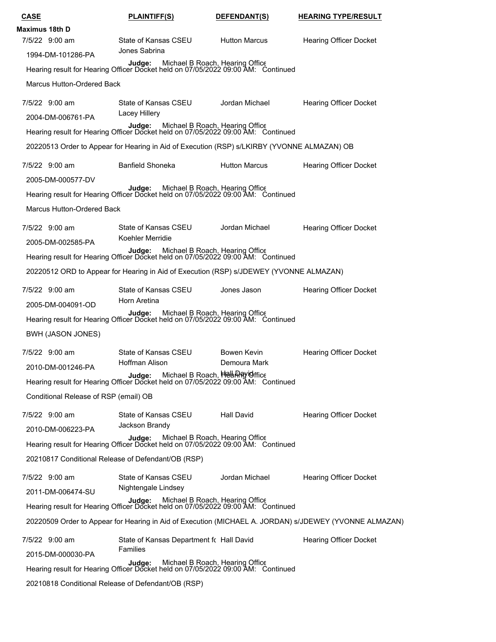| <u>CASE</u>                           | <b>PLAINTIFF(S)</b>                                                                                                        | DEFENDANT(S)         | <b>HEARING TYPE/RESULT</b>                                                                             |
|---------------------------------------|----------------------------------------------------------------------------------------------------------------------------|----------------------|--------------------------------------------------------------------------------------------------------|
| Maximus 18th D                        |                                                                                                                            |                      |                                                                                                        |
| 7/5/22 9:00 am                        | State of Kansas CSEU                                                                                                       | <b>Hutton Marcus</b> | <b>Hearing Officer Docket</b>                                                                          |
| 1994-DM-101286-PA                     | Jones Sabrina                                                                                                              |                      |                                                                                                        |
|                                       | Judge: Michael B Roach, Hearing Office<br>Hearing result for Hearing Officer Docket held on 07/05/2022 09:00 AM: Continued |                      |                                                                                                        |
| <b>Marcus Hutton-Ordered Back</b>     |                                                                                                                            |                      |                                                                                                        |
| 7/5/22 9:00 am                        | State of Kansas CSEU                                                                                                       | Jordan Michael       | <b>Hearing Officer Docket</b>                                                                          |
| 2004-DM-006761-PA                     | Lacey Hillery                                                                                                              |                      |                                                                                                        |
|                                       | Judge: Michael B Roach, Hearing Office<br>Hearing result for Hearing Officer Docket held on 07/05/2022 09:00 AM: Continued |                      |                                                                                                        |
|                                       | 20220513 Order to Appear for Hearing in Aid of Execution (RSP) s/LKIRBY (YVONNE ALMAZAN) OB                                |                      |                                                                                                        |
| 7/5/22 9:00 am                        | Banfield Shoneka                                                                                                           | <b>Hutton Marcus</b> | <b>Hearing Officer Docket</b>                                                                          |
| 2005-DM-000577-DV                     |                                                                                                                            |                      |                                                                                                        |
|                                       | Judge: Michael B Roach, Hearing Office<br>Hearing result for Hearing Officer Docket held on 07/05/2022 09:00 AM: Continued |                      |                                                                                                        |
| Marcus Hutton-Ordered Back            |                                                                                                                            |                      |                                                                                                        |
|                                       |                                                                                                                            |                      |                                                                                                        |
| 7/5/22 9:00 am                        | State of Kansas CSEU<br>Koehler Merridie                                                                                   | Jordan Michael       | <b>Hearing Officer Docket</b>                                                                          |
| 2005-DM-002585-PA                     |                                                                                                                            |                      |                                                                                                        |
|                                       | Judge: Michael B Roach, Hearing Office<br>Hearing result for Hearing Officer Docket held on 07/05/2022 09:00 AM: Continued |                      |                                                                                                        |
|                                       | 20220512 ORD to Appear for Hearing in Aid of Execution (RSP) s/JDEWEY (YVONNE ALMAZAN)                                     |                      |                                                                                                        |
| 7/5/22 9:00 am                        | State of Kansas CSEU                                                                                                       | Jones Jason          | <b>Hearing Officer Docket</b>                                                                          |
| 2005-DM-004091-OD                     | Horn Aretina                                                                                                               |                      |                                                                                                        |
|                                       | Judge: Michael B Roach, Hearing Office<br>Hearing result for Hearing Officer Docket held on 07/05/2022 09:00 AM: Continued |                      |                                                                                                        |
| <b>BWH (JASON JONES)</b>              |                                                                                                                            |                      |                                                                                                        |
| 7/5/22 9:00 am                        | State of Kansas CSEU                                                                                                       | Bowen Kevin          | <b>Hearing Officer Docket</b>                                                                          |
| 2010-DM-001246-PA                     | <b>Hoffman Alison</b>                                                                                                      | Demoura Mark         |                                                                                                        |
|                                       | Judge: Michael B Roach, HelahRY Office<br>Hearing result for Hearing Officer Docket held on 07/05/2022 09:00 AM: Continued |                      |                                                                                                        |
| Conditional Release of RSP (email) OB |                                                                                                                            |                      |                                                                                                        |
| 7/5/22 9:00 am                        | State of Kansas CSEU                                                                                                       | Hall David           | <b>Hearing Officer Docket</b>                                                                          |
| 2010-DM-006223-PA                     | Jackson Brandy                                                                                                             |                      |                                                                                                        |
|                                       | Judge: Michael B Roach, Hearing Office<br>Hearing result for Hearing Officer Docket held on 07/05/2022 09:00 AM: Continued |                      |                                                                                                        |
|                                       |                                                                                                                            |                      |                                                                                                        |
|                                       | 20210817 Conditional Release of Defendant/OB (RSP)                                                                         |                      |                                                                                                        |
| 7/5/22 9:00 am                        | State of Kansas CSEU<br>Nightengale Lindsey                                                                                | Jordan Michael       | <b>Hearing Officer Docket</b>                                                                          |
| 2011-DM-006474-SU                     |                                                                                                                            |                      |                                                                                                        |
|                                       | Judge: Michael B Roach, Hearing Office<br>Hearing result for Hearing Officer Docket held on 07/05/2022 09:00 AM: Continued |                      |                                                                                                        |
|                                       |                                                                                                                            |                      | 20220509 Order to Appear for Hearing in Aid of Execution (MICHAEL A. JORDAN) s/JDEWEY (YVONNE ALMAZAN) |
| 7/5/22 9:00 am                        | State of Kansas Department for Hall David                                                                                  |                      | <b>Hearing Officer Docket</b>                                                                          |
| 2015-DM-000030-PA                     | <b>Families</b>                                                                                                            |                      |                                                                                                        |
|                                       | Judge: Michael B Roach, Hearing Office<br>Hearing result for Hearing Officer Docket held on 07/05/2022 09:00 AM: Continued |                      |                                                                                                        |
|                                       | 20210818 Conditional Release of Defendant/OB (RSP)                                                                         |                      |                                                                                                        |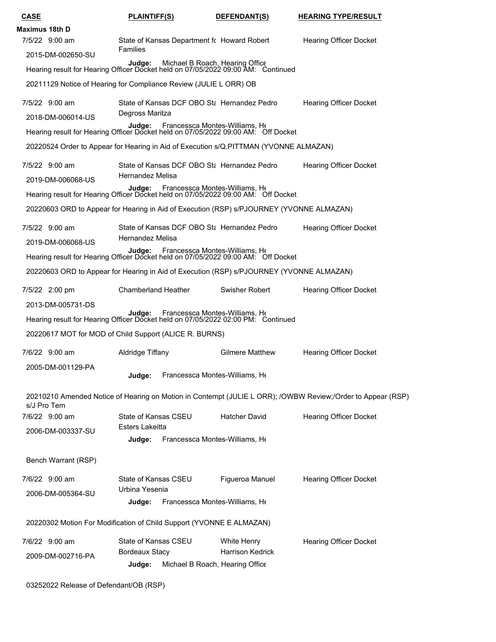| <b>CASE</b>                                                                                                                                      | <b>PLAINTIFF(S)</b>                            |                                              | DEFENDANT(S)                                 | <b>HEARING TYPE/RESULT</b>                                                                                  |
|--------------------------------------------------------------------------------------------------------------------------------------------------|------------------------------------------------|----------------------------------------------|----------------------------------------------|-------------------------------------------------------------------------------------------------------------|
| Maximus 18th D                                                                                                                                   |                                                |                                              |                                              |                                                                                                             |
| 7/5/22 9:00 am<br>2015-DM-002650-SU                                                                                                              | <b>Families</b>                                | State of Kansas Department for Howard Robert |                                              | <b>Hearing Officer Docket</b>                                                                               |
| Judge: Michael B Roach, Hearing Office<br>Hearing result for Hearing Officer Docket held on 07/05/2022 09:00 AM: Continued                       |                                                |                                              |                                              |                                                                                                             |
| 20211129 Notice of Hearing for Compliance Review (JULIE L ORR) OB                                                                                |                                                |                                              |                                              |                                                                                                             |
| 7/5/22 9:00 am                                                                                                                                   |                                                |                                              | State of Kansas DCF OBO Sta Hernandez Pedro  | <b>Hearing Officer Docket</b>                                                                               |
| 2018-DM-006014-US<br>Judge: Francessca Montes-Williams, Hearing result for Hearing Officer Docket held on 07/05/2022 09:00 AM: Off Docket        | Degross Maritza                                |                                              |                                              |                                                                                                             |
| 20220524 Order to Appear for Hearing in Aid of Execution s/Q.PITTMAN (YVONNE ALMAZAN)                                                            |                                                |                                              |                                              |                                                                                                             |
| 7/5/22 9:00 am                                                                                                                                   |                                                |                                              | State of Kansas DCF OBO Stal Hernandez Pedro | <b>Hearing Officer Docket</b>                                                                               |
| 2019-DM-006068-US                                                                                                                                | Hernandez Melisa                               |                                              |                                              |                                                                                                             |
| <b>Judge:</b> Francessca Montes-Williams, Ht<br>Hearing result for Hearing Officer Docket held on 07/05/2022 09:00 AM: Off Docket                |                                                |                                              |                                              |                                                                                                             |
| 20220603 ORD to Appear for Hearing in Aid of Execution (RSP) s/PJOURNEY (YVONNE ALMAZAN)                                                         |                                                |                                              |                                              |                                                                                                             |
| 7/5/22 9:00 am                                                                                                                                   | Hernandez Melisa                               |                                              | State of Kansas DCF OBO Sta Hernandez Pedro  | <b>Hearing Officer Docket</b>                                                                               |
| 2019-DM-006068-US<br><b>Judge:</b> Francessca Montes-Williams, Hearing result for Hearing Officer Docket held on 07/05/2022 09:00 AM: Off Docket |                                                |                                              |                                              |                                                                                                             |
| 20220603 ORD to Appear for Hearing in Aid of Execution (RSP) s/PJOURNEY (YVONNE ALMAZAN)                                                         |                                                |                                              |                                              |                                                                                                             |
| 7/5/22 2:00 pm                                                                                                                                   | <b>Chamberland Heather</b>                     |                                              | Swisher Robert                               | <b>Hearing Officer Docket</b>                                                                               |
| 2013-DM-005731-DS                                                                                                                                |                                                |                                              |                                              |                                                                                                             |
| Judge: Francessca Montes-Williams, Hearing result for Hearing Officer Docket held on 07/05/2022 02:00 PM: Continued                              |                                                |                                              |                                              |                                                                                                             |
| 20220617 MOT for MOD of Child Support (ALICE R. BURNS)                                                                                           |                                                |                                              |                                              |                                                                                                             |
| 7/6/22 9:00 am                                                                                                                                   | Aldridge Tiffany                               |                                              | <b>Gilmere Matthew</b>                       | <b>Hearing Officer Docket</b>                                                                               |
| 2005-DM-001129-PA                                                                                                                                |                                                | Judge: Francessca Montes-Williams, He        |                                              |                                                                                                             |
| s/J Pro Tem                                                                                                                                      |                                                |                                              |                                              | 20210210 Amended Notice of Hearing on Motion in Contempt (JULIE L ORR); /OWBW Review;/Order to Appear (RSP) |
| 7/6/22 9:00 am                                                                                                                                   | State of Kansas CSEU<br><b>Esters Lakeitta</b> |                                              | <b>Hatcher David</b>                         | <b>Hearing Officer Docket</b>                                                                               |
| 2006-DM-003337-SU                                                                                                                                | Judge:                                         | Francessca Montes-Williams, He               |                                              |                                                                                                             |
| Bench Warrant (RSP)                                                                                                                              |                                                |                                              |                                              |                                                                                                             |
| 7/6/22 9:00 am                                                                                                                                   | State of Kansas CSEU                           |                                              | Figueroa Manuel                              | <b>Hearing Officer Docket</b>                                                                               |
| 2006-DM-005364-SU                                                                                                                                | Urbina Yesenia                                 |                                              |                                              |                                                                                                             |
|                                                                                                                                                  | Judge:                                         | Francessca Montes-Williams, He               |                                              |                                                                                                             |
| 20220302 Motion For Modification of Child Support (YVONNE E ALMAZAN)                                                                             |                                                |                                              |                                              |                                                                                                             |
| 7/6/22 9:00 am                                                                                                                                   | State of Kansas CSEU<br><b>Bordeaux Stacy</b>  |                                              | White Henry<br><b>Harrison Kedrick</b>       | <b>Hearing Officer Docket</b>                                                                               |
| 2009-DM-002716-PA                                                                                                                                | Judge:                                         | Michael B Roach, Hearing Office              |                                              |                                                                                                             |
| 03252022 Release of Defendant/OB (RSP)                                                                                                           |                                                |                                              |                                              |                                                                                                             |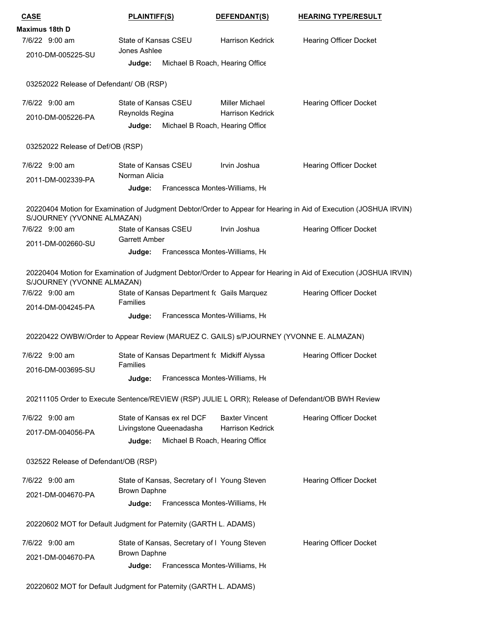| <b>CASE</b>                                                                                      | <b>PLAINTIFF(S)</b>                          |                                                            | DEFENDANT(S)            | <b>HEARING TYPE/RESULT</b>                                                                                                                         |
|--------------------------------------------------------------------------------------------------|----------------------------------------------|------------------------------------------------------------|-------------------------|----------------------------------------------------------------------------------------------------------------------------------------------------|
| Maximus 18th D                                                                                   |                                              |                                                            |                         |                                                                                                                                                    |
| 7/6/22 9:00 am                                                                                   | State of Kansas CSEU                         |                                                            | <b>Harrison Kedrick</b> | <b>Hearing Officer Docket</b>                                                                                                                      |
| 2010-DM-005225-SU                                                                                | Jones Ashlee<br>Judge:                       | Michael B Roach, Hearing Office                            |                         |                                                                                                                                                    |
|                                                                                                  |                                              |                                                            |                         |                                                                                                                                                    |
| 03252022 Release of Defendant/ OB (RSP)                                                          |                                              |                                                            |                         |                                                                                                                                                    |
| 7/6/22 9:00 am                                                                                   | State of Kansas CSEU                         |                                                            | Miller Michael          | <b>Hearing Officer Docket</b>                                                                                                                      |
| 2010-DM-005226-PA                                                                                | Reynolds Regina<br>Judge:                    | Michael B Roach, Hearing Office                            | <b>Harrison Kedrick</b> |                                                                                                                                                    |
| 03252022 Release of Def/OB (RSP)                                                                 |                                              |                                                            |                         |                                                                                                                                                    |
| 7/6/22 9:00 am                                                                                   | State of Kansas CSEU                         |                                                            | Irvin Joshua            | <b>Hearing Officer Docket</b>                                                                                                                      |
| 2011-DM-002339-PA                                                                                | Norman Alicia                                |                                                            |                         |                                                                                                                                                    |
|                                                                                                  | Judge:                                       | Francessca Montes-Williams, He                             |                         |                                                                                                                                                    |
| S/JOURNEY (YVONNE ALMAZAN)                                                                       |                                              |                                                            |                         | 20220404 Motion for Examination of Judgment Debtor/Order to Appear for Hearing in Aid of Execution (JOSHUA IRVIN)                                  |
| 7/6/22 9:00 am                                                                                   | State of Kansas CSEU<br><b>Garrett Amber</b> |                                                            | Irvin Joshua            | <b>Hearing Officer Docket</b>                                                                                                                      |
| 2011-DM-002660-SU                                                                                | Judge:                                       | Francessca Montes-Williams, He                             |                         |                                                                                                                                                    |
| S/JOURNEY (YVONNE ALMAZAN)<br>7/6/22 9:00 am                                                     |                                              | State of Kansas Department fc Gails Marquez                |                         | 20220404 Motion for Examination of Judgment Debtor/Order to Appear for Hearing in Aid of Execution (JOSHUA IRVIN)<br><b>Hearing Officer Docket</b> |
| 2014-DM-004245-PA                                                                                | <b>Families</b><br>Judge:                    | Francessca Montes-Williams, He                             |                         |                                                                                                                                                    |
|                                                                                                  |                                              |                                                            |                         |                                                                                                                                                    |
| 20220422 OWBW/Order to Appear Review (MARUEZ C. GAILS) s/PJOURNEY (YVONNE E. ALMAZAN)            |                                              |                                                            |                         |                                                                                                                                                    |
| 7/6/22 9:00 am                                                                                   | Families                                     | State of Kansas Department fc Midkiff Alyssa               |                         | <b>Hearing Officer Docket</b>                                                                                                                      |
| 2016-DM-003695-SU                                                                                | Judge:                                       | Francessca Montes-Williams, He                             |                         |                                                                                                                                                    |
| 20211105 Order to Execute Sentence/REVIEW (RSP) JULIE L ORR); Release of Defendant/OB BWH Review |                                              |                                                            |                         |                                                                                                                                                    |
| 7/6/22 9:00 am                                                                                   |                                              | State of Kansas ex rel DCF                                 | <b>Baxter Vincent</b>   | <b>Hearing Officer Docket</b>                                                                                                                      |
| 2017-DM-004056-PA                                                                                | Judge:                                       | Livingstone Queenadasha<br>Michael B Roach, Hearing Office | <b>Harrison Kedrick</b> |                                                                                                                                                    |
|                                                                                                  |                                              |                                                            |                         |                                                                                                                                                    |
| 032522 Release of Defendant/OB (RSP)                                                             |                                              |                                                            |                         |                                                                                                                                                    |
| 7/6/22 9:00 am                                                                                   |                                              | State of Kansas, Secretary of I Young Steven               |                         | <b>Hearing Officer Docket</b>                                                                                                                      |
| 2021-DM-004670-PA                                                                                | Brown Daphne<br>Judge:                       | Francessca Montes-Williams, He                             |                         |                                                                                                                                                    |
| 20220602 MOT for Default Judgment for Paternity (GARTH L. ADAMS)                                 |                                              |                                                            |                         |                                                                                                                                                    |
| 7/6/22 9:00 am                                                                                   |                                              | State of Kansas, Secretary of I Young Steven               |                         | <b>Hearing Officer Docket</b>                                                                                                                      |
| 2021-DM-004670-PA                                                                                | <b>Brown Daphne</b>                          |                                                            |                         |                                                                                                                                                    |
|                                                                                                  | Judge:                                       | Francessca Montes-Williams, He                             |                         |                                                                                                                                                    |
|                                                                                                  |                                              |                                                            |                         |                                                                                                                                                    |

20220602 MOT for Default Judgment for Paternity (GARTH L. ADAMS)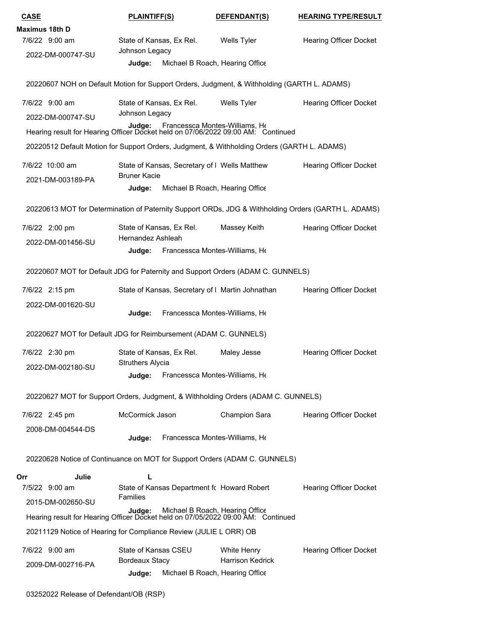| <b>CASE</b>                                                                                                                | <b>PLAINTIFF(S)</b>                                 |                                               | DEFENDANT(S)                                     | <b>HEARING TYPE/RESULT</b>    |
|----------------------------------------------------------------------------------------------------------------------------|-----------------------------------------------------|-----------------------------------------------|--------------------------------------------------|-------------------------------|
| Maximus 18th D                                                                                                             |                                                     |                                               |                                                  |                               |
| 7/6/22 9:00 am                                                                                                             | State of Kansas, Ex Rel.<br>Johnson Legacy          |                                               | Wells Tyler                                      | <b>Hearing Officer Docket</b> |
| 2022-DM-000747-SU                                                                                                          | Judge:                                              | Michael B Roach, Hearing Office               |                                                  |                               |
| 20220607 NOH on Default Motion for Support Orders, Judgment, & Withholding (GARTH L. ADAMS)                                |                                                     |                                               |                                                  |                               |
| 7/6/22 9:00 am                                                                                                             | State of Kansas, Ex Rel.<br>Johnson Legacy          |                                               | Wells Tyler                                      | <b>Hearing Officer Docket</b> |
| 2022-DM-000747-SU<br>Hearing result for Hearing Officer Docket held on 07/06/2022 09:00 AM: Continued                      | Judge:                                              | Francessca Montes-Williams, He                |                                                  |                               |
| 20220512 Default Motion for Support Orders, Judgment, & Withholding Orders (GARTH L. ADAMS)                                |                                                     |                                               |                                                  |                               |
| 7/6/22 10:00 am                                                                                                            |                                                     | State of Kansas, Secretary of I Wells Matthew |                                                  | <b>Hearing Officer Docket</b> |
| 2021-DM-003189-PA                                                                                                          | <b>Bruner Kacie</b><br>Judge:                       | Michael B Roach, Hearing Office               |                                                  |                               |
| 20220613 MOT for Determination of Paternity Support ORDs, JDG & Withholding Orders (GARTH L. ADAMS)                        |                                                     |                                               |                                                  |                               |
| 7/6/22 2:00 pm                                                                                                             | State of Kansas, Ex Rel.<br>Hernandez Ashleah       |                                               | Massey Keith                                     | <b>Hearing Officer Docket</b> |
| 2022-DM-001456-SU                                                                                                          | Judge:                                              | Francessca Montes-Williams, He                |                                                  |                               |
| 20220607 MOT for Default JDG for Paternity and Support Orders (ADAM C. GUNNELS)                                            |                                                     |                                               |                                                  |                               |
| 7/6/22 2:15 pm                                                                                                             |                                                     |                                               | State of Kansas, Secretary of I Martin Johnathan | <b>Hearing Officer Docket</b> |
| 2022-DM-001620-SU                                                                                                          | Judge:                                              | Francessca Montes-Williams, He                |                                                  |                               |
| 20220627 MOT for Default JDG for Reimbursement (ADAM C. GUNNELS)                                                           |                                                     |                                               |                                                  |                               |
| 7/6/22 2:30 pm                                                                                                             | State of Kansas, Ex Rel.<br><b>Struthers Alycia</b> |                                               | Maley Jesse                                      | <b>Hearing Officer Docket</b> |
| 2022-DM-002180-SU                                                                                                          |                                                     | Judge: Francessca Montes-Williams, He         |                                                  |                               |
| 20220627 MOT for Support Orders, Judgment, & Withholding Orders (ADAM C. GUNNELS)                                          |                                                     |                                               |                                                  |                               |
| 7/6/22 2:45 pm                                                                                                             | McCormick Jason                                     |                                               | Champion Sara                                    | <b>Hearing Officer Docket</b> |
| 2008-DM-004544-DS                                                                                                          | Judge:                                              | Francessca Montes-Williams, He                |                                                  |                               |
| 20220628 Notice of Continuance on MOT for Support Orders (ADAM C. GUNNELS)                                                 |                                                     |                                               |                                                  |                               |
| Julie<br>Orr                                                                                                               | L                                                   |                                               |                                                  |                               |
| 7/5/22 9:00 am                                                                                                             |                                                     | State of Kansas Department for Howard Robert  |                                                  | <b>Hearing Officer Docket</b> |
| 2015-DM-002650-SU                                                                                                          | <b>Families</b>                                     |                                               |                                                  |                               |
| Judge: Michael B Roach, Hearing Office<br>Hearing result for Hearing Officer Docket held on 07/05/2022 09:00 AM: Continued |                                                     |                                               |                                                  |                               |
| 20211129 Notice of Hearing for Compliance Review (JULIE L ORR) OB                                                          |                                                     |                                               |                                                  |                               |
| 7/6/22 9:00 am                                                                                                             | State of Kansas CSEU                                |                                               | White Henry                                      | <b>Hearing Officer Docket</b> |
| 2009-DM-002716-PA                                                                                                          | <b>Bordeaux Stacy</b><br>Judge:                     | Michael B Roach, Hearing Office               | <b>Harrison Kedrick</b>                          |                               |
|                                                                                                                            |                                                     |                                               |                                                  |                               |

03252022 Release of Defendant/OB (RSP)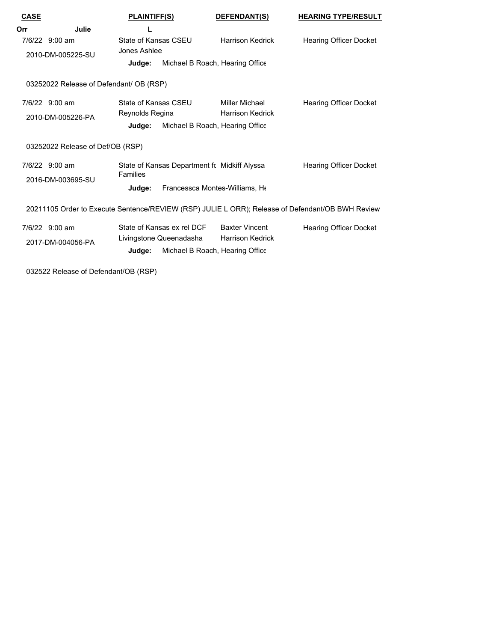| <b>CASE</b> |                                         | <b>PLAINTIFF(S)</b>                          |  | DEFENDANT(S)                    | <b>HEARING TYPE/RESULT</b>                                                                       |  |  |
|-------------|-----------------------------------------|----------------------------------------------|--|---------------------------------|--------------------------------------------------------------------------------------------------|--|--|
| Orr         | Julie                                   |                                              |  |                                 |                                                                                                  |  |  |
|             | 7/6/22 9:00 am                          | State of Kansas CSEU                         |  | <b>Harrison Kedrick</b>         | <b>Hearing Officer Docket</b>                                                                    |  |  |
|             | 2010-DM-005225-SU                       | Jones Ashlee                                 |  |                                 |                                                                                                  |  |  |
|             |                                         | Judge:                                       |  | Michael B Roach, Hearing Office |                                                                                                  |  |  |
|             | 03252022 Release of Defendant/ OB (RSP) |                                              |  |                                 |                                                                                                  |  |  |
|             | 7/6/22 9:00 am                          | State of Kansas CSEU                         |  | Miller Michael                  | <b>Hearing Officer Docket</b>                                                                    |  |  |
|             | 2010-DM-005226-PA                       | Reynolds Regina                              |  | <b>Harrison Kedrick</b>         |                                                                                                  |  |  |
|             |                                         | Judge:                                       |  | Michael B Roach, Hearing Office |                                                                                                  |  |  |
|             | 03252022 Release of Def/OB (RSP)        |                                              |  |                                 |                                                                                                  |  |  |
|             | 7/6/22 9:00 am                          | State of Kansas Department fo Midkiff Alyssa |  |                                 | <b>Hearing Officer Docket</b>                                                                    |  |  |
|             | 2016-DM-003695-SU                       | Families                                     |  |                                 |                                                                                                  |  |  |
|             |                                         | Francessca Montes-Williams, He<br>Judge:     |  |                                 |                                                                                                  |  |  |
|             |                                         |                                              |  |                                 | 20211105 Order to Execute Sentence/REVIEW (RSP) JULIE L ORR); Release of Defendant/OB BWH Review |  |  |
|             | 7/6/22 9:00 am                          | State of Kansas ex rel DCF                   |  | <b>Baxter Vincent</b>           | <b>Hearing Officer Docket</b>                                                                    |  |  |
|             | 2017-DM-004056-PA                       | Livingstone Queenadasha                      |  | <b>Harrison Kedrick</b>         |                                                                                                  |  |  |
|             |                                         | Judge:                                       |  | Michael B Roach, Hearing Office |                                                                                                  |  |  |
|             | 032522 Release of Defendant/OB (RSP)    |                                              |  |                                 |                                                                                                  |  |  |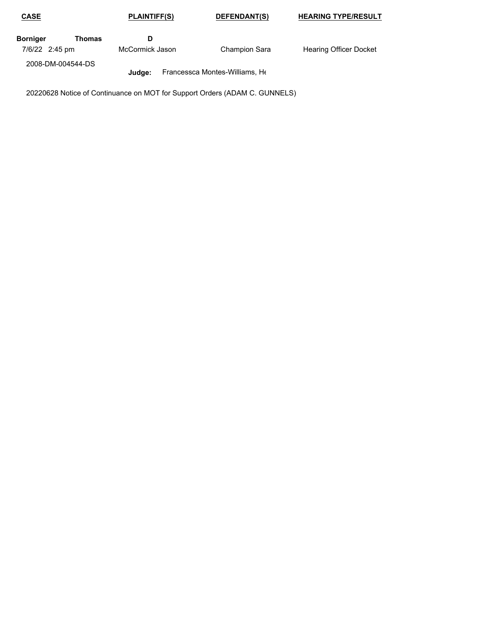| <b>CASE</b>        | <b>PLAINTIFF(S)</b> | DEFENDANT(S)                   | <b>HEARING TYPE/RESULT</b>    |
|--------------------|---------------------|--------------------------------|-------------------------------|
| Borniger<br>Thomas |                     |                                |                               |
| 7/6/22 2:45 pm     | McCormick Jason     | <b>Champion Sara</b>           | <b>Hearing Officer Docket</b> |
| 2008-DM-004544-DS  |                     |                                |                               |
|                    | Judae:              | Francessca Montes-Williams, He |                               |

20220628 Notice of Continuance on MOT for Support Orders (ADAM C. GUNNELS)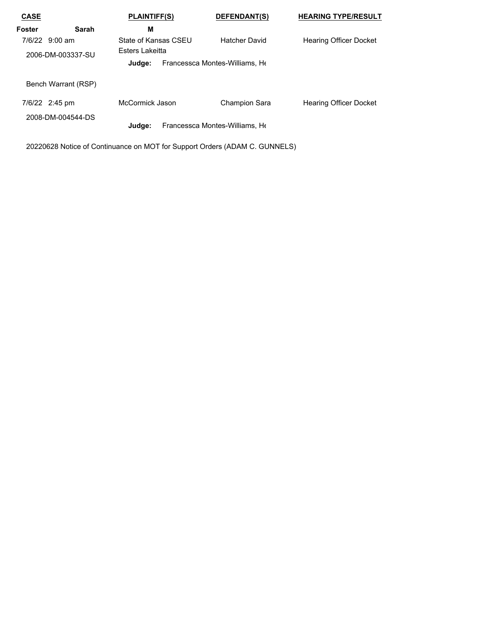| <b>CASE</b>                         |                     | <b>PLAINTIFF(S)</b>                     | <b>DEFENDANT(S)</b>            | <b>HEARING TYPE/RESULT</b>    |
|-------------------------------------|---------------------|-----------------------------------------|--------------------------------|-------------------------------|
| Foster                              | Sarah               | M                                       |                                |                               |
| 7/6/22 9:00 am<br>2006-DM-003337-SU |                     | State of Kansas CSEU<br>Esters Lakeitta | <b>Hatcher David</b>           | <b>Hearing Officer Docket</b> |
|                                     |                     | Judge:                                  | Francessca Montes-Williams, He |                               |
|                                     | Bench Warrant (RSP) |                                         |                                |                               |
| 7/6/22 2:45 pm                      | 2008-DM-004544-DS   | McCormick Jason                         | <b>Champion Sara</b>           | <b>Hearing Officer Docket</b> |
|                                     |                     | Judge:                                  | Francessca Montes-Williams, He |                               |

20220628 Notice of Continuance on MOT for Support Orders (ADAM C. GUNNELS)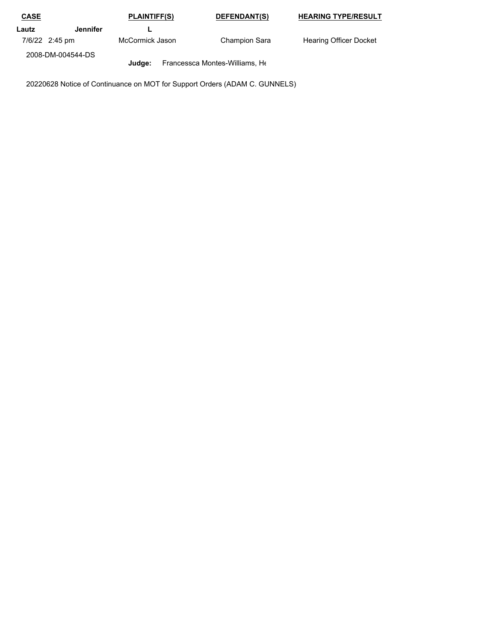| <b>CASE</b> |                   | <b>PLAINTIFF(S)</b> | DEFENDANT(S)                   | <b>HEARING TYPE/RESULT</b>    |
|-------------|-------------------|---------------------|--------------------------------|-------------------------------|
| Lautz       | Jennifer          |                     |                                |                               |
|             | 7/6/22 2:45 pm    | McCormick Jason     | <b>Champion Sara</b>           | <b>Hearing Officer Docket</b> |
|             | 2008-DM-004544-DS |                     |                                |                               |
|             |                   | Judae:              | Francessca Montes-Williams, He |                               |

20220628 Notice of Continuance on MOT for Support Orders (ADAM C. GUNNELS)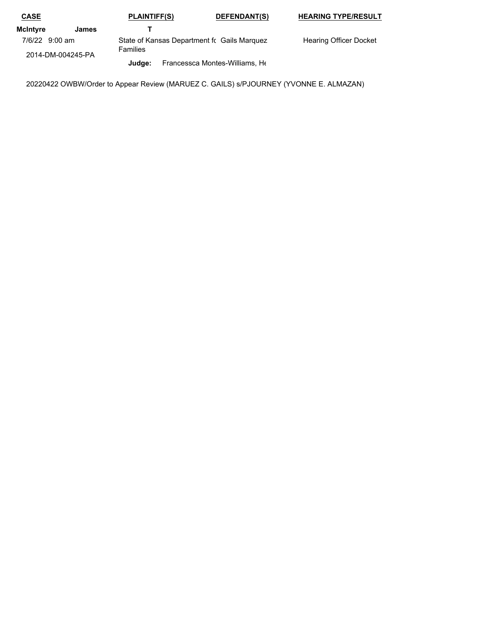| <b>CASE</b>                         |       | <b>PLAINTIFF(S)</b> | DEFENDANT(S)                                 | <b>HEARING TYPE/RESULT</b>    |
|-------------------------------------|-------|---------------------|----------------------------------------------|-------------------------------|
| McIntvre                            | James |                     |                                              |                               |
| 7/6/22 9:00 am<br>2014-DM-004245-PA |       | <b>Families</b>     | State of Kansas Department for Gails Marquez | <b>Hearing Officer Docket</b> |
|                                     |       | Judae:              | Francessca Montes-Williams, He               |                               |

20220422 OWBW/Order to Appear Review (MARUEZ C. GAILS) s/PJOURNEY (YVONNE E. ALMAZAN)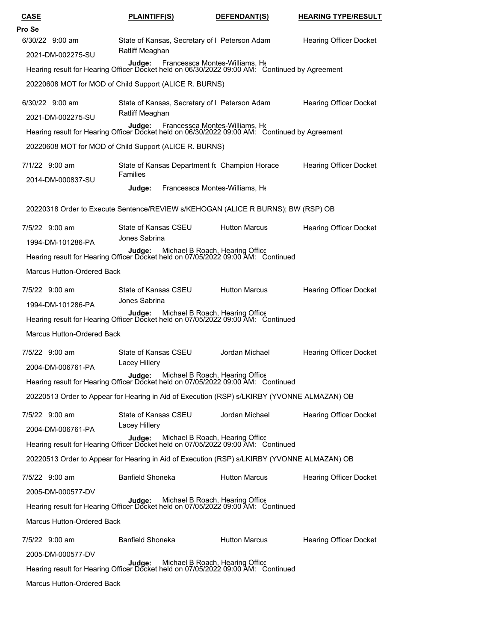| <b>CASE</b>                       | <b>PLAINTIFF(S)</b>                                                                                                              | DEFENDANT(S)                   | <b>HEARING TYPE/RESULT</b>    |
|-----------------------------------|----------------------------------------------------------------------------------------------------------------------------------|--------------------------------|-------------------------------|
| Pro Se                            |                                                                                                                                  |                                |                               |
| 6/30/22 9:00 am                   | State of Kansas, Secretary of I Peterson Adam<br>Ratliff Meaghan                                                                 |                                | <b>Hearing Officer Docket</b> |
| 2021-DM-002275-SU                 | Judge: Francessca Montes-Williams, Hearing result for Hearing Officer Docket held on 06/30/2022 09:00 AM: Continued by Agreement |                                |                               |
|                                   |                                                                                                                                  |                                |                               |
|                                   | 20220608 MOT for MOD of Child Support (ALICE R. BURNS)                                                                           |                                |                               |
| 6/30/22 9:00 am                   | State of Kansas, Secretary of I Peterson Adam                                                                                    |                                | <b>Hearing Officer Docket</b> |
| 2021-DM-002275-SU                 | Ratliff Meaghan                                                                                                                  |                                |                               |
|                                   | Judge:<br>Hearing result for Hearing Officer Docket held on 06/30/2022 09:00 AM: Continued by Agreement                          | Francessca Montes-Williams, He |                               |
|                                   | 20220608 MOT for MOD of Child Support (ALICE R. BURNS)                                                                           |                                |                               |
| 7/1/22 9:00 am                    | State of Kansas Department fc Champion Horace                                                                                    |                                | <b>Hearing Officer Docket</b> |
| 2014-DM-000837-SU                 | Families                                                                                                                         |                                |                               |
|                                   | Judge:                                                                                                                           | Francessca Montes-Williams, He |                               |
|                                   | 20220318 Order to Execute Sentence/REVIEW s/KEHOGAN (ALICE R BURNS); BW (RSP) OB                                                 |                                |                               |
| 7/5/22 9:00 am                    | State of Kansas CSEU<br>Jones Sabrina                                                                                            | <b>Hutton Marcus</b>           | Hearing Officer Docket        |
| 1994-DM-101286-PA                 |                                                                                                                                  |                                |                               |
|                                   | Judge: Michael B Roach, Hearing Office<br>Hearing result for Hearing Officer Docket held on 07/05/2022 09:00 AM: Continued       |                                |                               |
| <b>Marcus Hutton-Ordered Back</b> |                                                                                                                                  |                                |                               |
| 7/5/22 9:00 am                    | State of Kansas CSEU                                                                                                             | <b>Hutton Marcus</b>           | <b>Hearing Officer Docket</b> |
| 1994-DM-101286-PA                 | Jones Sabrina                                                                                                                    |                                |                               |
|                                   | Judge: Michael B Roach, Hearing Office<br>Hearing result for Hearing Officer Docket held on 07/05/2022 09:00 AM: Continued       |                                |                               |
| Marcus Hutton-Ordered Back        |                                                                                                                                  |                                |                               |
| 7/5/22 9:00 am                    | State of Kansas CSEU                                                                                                             | Jordan Michael                 | <b>Hearing Officer Docket</b> |
| 2004-DM-006761-PA                 | Lacey Hillery                                                                                                                    |                                |                               |
|                                   | Judge: Michael B Roach, Hearing Office<br>Hearing result for Hearing Officer Docket held on 07/05/2022 09:00 AM: Continued       |                                |                               |
|                                   | 20220513 Order to Appear for Hearing in Aid of Execution (RSP) s/LKIRBY (YVONNE ALMAZAN) OB                                      |                                |                               |
| 7/5/22 9:00 am                    | State of Kansas CSEU                                                                                                             | Jordan Michael                 | <b>Hearing Officer Docket</b> |
| 2004-DM-006761-PA                 | Lacey Hillery                                                                                                                    |                                |                               |
|                                   | Judge: Michael B Roach, Hearing Office<br>Hearing result for Hearing Officer Docket held on 07/05/2022 09:00 AM: Continued       |                                |                               |
|                                   | 20220513 Order to Appear for Hearing in Aid of Execution (RSP) s/LKIRBY (YVONNE ALMAZAN) OB                                      |                                |                               |
| 7/5/22 9:00 am                    | <b>Banfield Shoneka</b>                                                                                                          | <b>Hutton Marcus</b>           | <b>Hearing Officer Docket</b> |
| 2005-DM-000577-DV                 |                                                                                                                                  |                                |                               |
|                                   | Judge: Michael B Roach, Hearing Office<br>Hearing result for Hearing Officer Docket held on 07/05/2022 09:00 AM: Continued       |                                |                               |
| Marcus Hutton-Ordered Back        |                                                                                                                                  |                                |                               |
| 7/5/22 9:00 am                    | <b>Banfield Shoneka</b>                                                                                                          | <b>Hutton Marcus</b>           | <b>Hearing Officer Docket</b> |
| 2005-DM-000577-DV                 |                                                                                                                                  |                                |                               |
|                                   | Judge: Michael B Roach, Hearing Office<br>Hearing result for Hearing Officer Docket held on 07/05/2022 09:00 AM: Continued       |                                |                               |
| Marcus Hutton-Ordered Back        |                                                                                                                                  |                                |                               |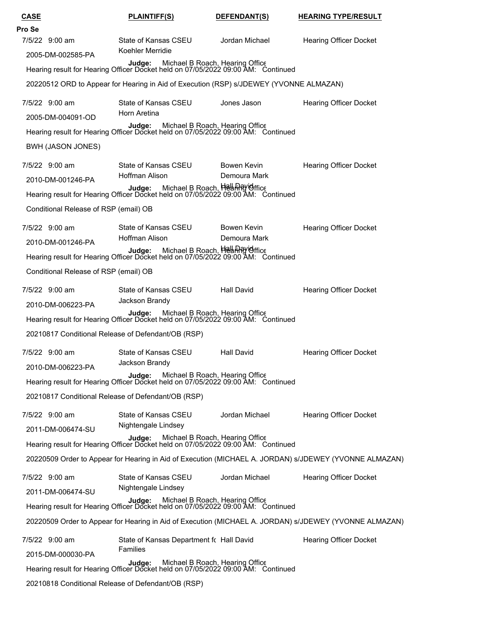| <b>CASE</b>                           | <b>PLAINTIFF(S)</b>                                                                                                         | DEFENDANT(S)                    | <b>HEARING TYPE/RESULT</b>                                                                             |
|---------------------------------------|-----------------------------------------------------------------------------------------------------------------------------|---------------------------------|--------------------------------------------------------------------------------------------------------|
| Pro Se                                |                                                                                                                             |                                 |                                                                                                        |
| 7/5/22 9:00 am                        | State of Kansas CSEU<br>Koehler Merridie                                                                                    | Jordan Michael                  | <b>Hearing Officer Docket</b>                                                                          |
| 2005-DM-002585-PA                     | Judge: Michael B Roach, Hearing Office<br>Hearing result for Hearing Officer Docket held on 07/05/2022 09:00 AM: Continued  |                                 |                                                                                                        |
|                                       |                                                                                                                             |                                 |                                                                                                        |
|                                       | 20220512 ORD to Appear for Hearing in Aid of Execution (RSP) s/JDEWEY (YVONNE ALMAZAN)                                      |                                 |                                                                                                        |
| 7/5/22 9:00 am                        | State of Kansas CSEU<br>Horn Aretina                                                                                        | Jones Jason                     | <b>Hearing Officer Docket</b>                                                                          |
| 2005-DM-004091-OD                     |                                                                                                                             |                                 |                                                                                                        |
|                                       | Judge: Michael B Roach, Hearing Office<br>Hearing result for Hearing Officer Docket held on 07/05/2022 09:00 AM: Continued  |                                 |                                                                                                        |
| BWH (JASON JONES)                     |                                                                                                                             |                                 |                                                                                                        |
| 7/5/22 9:00 am                        | State of Kansas CSEU                                                                                                        | Bowen Kevin                     | <b>Hearing Officer Docket</b>                                                                          |
| 2010-DM-001246-PA                     | Hoffman Alison                                                                                                              | Demoura Mark                    |                                                                                                        |
|                                       | Judge: Michael B Roach, Helanney Gffice<br>Hearing result for Hearing Officer Docket held on 07/05/2022 09:00 AM: Continued |                                 |                                                                                                        |
| Conditional Release of RSP (email) OB |                                                                                                                             |                                 |                                                                                                        |
| 7/5/22 9:00 am                        | State of Kansas CSEU                                                                                                        | Bowen Kevin                     | <b>Hearing Officer Docket</b>                                                                          |
| 2010-DM-001246-PA                     | Hoffman Alison                                                                                                              | Demoura Mark                    |                                                                                                        |
|                                       | Judge: Michael B Roach, Helaning vesult for Hearing Officer Docket held on 07/05/2022 09:00 AM: Continued                   |                                 |                                                                                                        |
| Conditional Release of RSP (email) OB |                                                                                                                             |                                 |                                                                                                        |
| 7/5/22 9:00 am                        | State of Kansas CSEU                                                                                                        | <b>Hall David</b>               | <b>Hearing Officer Docket</b>                                                                          |
| 2010-DM-006223-PA                     | Jackson Brandy                                                                                                              |                                 |                                                                                                        |
|                                       | Judge: Michael B Roach, Hearing Office<br>Hearing result for Hearing Officer Docket held on 07/05/2022 09:00 AM: Continued  |                                 |                                                                                                        |
|                                       | 20210817 Conditional Release of Defendant/OB (RSP)                                                                          |                                 |                                                                                                        |
| 7/5/22 9:00 am                        | State of Kansas CSEU                                                                                                        | <b>Hall David</b>               | <b>Hearing Officer Docket</b>                                                                          |
| 2010-DM-006223-PA                     | Jackson Brandy                                                                                                              |                                 |                                                                                                        |
|                                       | Judge:<br>Hearing result for Hearing Officer Docket held on 07/05/2022 09:00 AM: Continued                                  | Michael B Roach, Hearing Office |                                                                                                        |
|                                       | 20210817 Conditional Release of Defendant/OB (RSP)                                                                          |                                 |                                                                                                        |
|                                       |                                                                                                                             |                                 |                                                                                                        |
| 7/5/22 9:00 am                        | State of Kansas CSEU<br>Nightengale Lindsey                                                                                 | Jordan Michael                  | <b>Hearing Officer Docket</b>                                                                          |
| 2011-DM-006474-SU                     | Judge: Michael B Roach, Hearing Office<br>Hearing result for Hearing Officer Docket held on 07/05/2022 09:00 AM: Continued  |                                 |                                                                                                        |
|                                       |                                                                                                                             |                                 |                                                                                                        |
|                                       |                                                                                                                             |                                 | 20220509 Order to Appear for Hearing in Aid of Execution (MICHAEL A. JORDAN) s/JDEWEY (YVONNE ALMAZAN) |
| 7/5/22 9:00 am                        | State of Kansas CSEU<br>Nightengale Lindsey                                                                                 | Jordan Michael                  | <b>Hearing Officer Docket</b>                                                                          |
| 2011-DM-006474-SU                     |                                                                                                                             |                                 |                                                                                                        |
|                                       | Judge: Michael B Roach, Hearing Office<br>Hearing result for Hearing Officer Docket held on 07/05/2022 09:00 AM: Continued  |                                 |                                                                                                        |
|                                       |                                                                                                                             |                                 | 20220509 Order to Appear for Hearing in Aid of Execution (MICHAEL A. JORDAN) s/JDEWEY (YVONNE ALMAZAN) |
| 7/5/22 9:00 am                        | State of Kansas Department for Hall David                                                                                   |                                 | <b>Hearing Officer Docket</b>                                                                          |
| 2015-DM-000030-PA                     | Families                                                                                                                    |                                 |                                                                                                        |
|                                       | Judge: Michael B Roach, Hearing Office<br>Hearing result for Hearing Officer Docket held on 07/05/2022 09:00 AM: Continued  |                                 |                                                                                                        |
|                                       | 20210818 Conditional Release of Defendant/OB (RSP)                                                                          |                                 |                                                                                                        |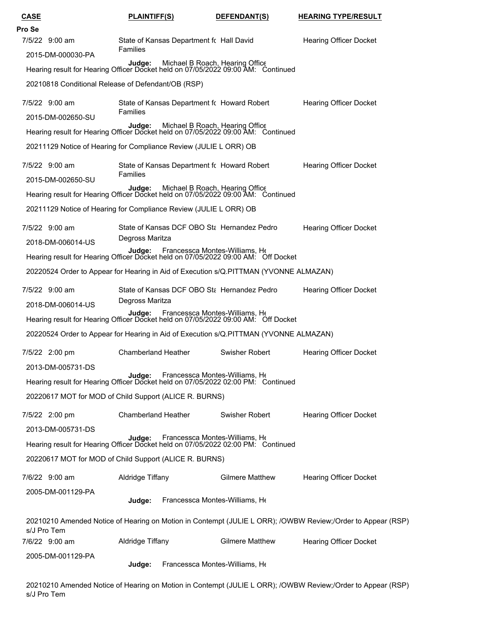| CASE                                                              | <b>PLAINTIFF(S)</b>                                                                                                                             | DEFENDANT(S)                                                                                                                | <b>HEARING TYPE/RESULT</b>                                                                                  |  |  |  |  |  |
|-------------------------------------------------------------------|-------------------------------------------------------------------------------------------------------------------------------------------------|-----------------------------------------------------------------------------------------------------------------------------|-------------------------------------------------------------------------------------------------------------|--|--|--|--|--|
| Pro Se                                                            |                                                                                                                                                 |                                                                                                                             |                                                                                                             |  |  |  |  |  |
| 7/5/22 9:00 am                                                    | State of Kansas Department for Hall David<br><b>Families</b>                                                                                    |                                                                                                                             | <b>Hearing Officer Docket</b>                                                                               |  |  |  |  |  |
|                                                                   | 2015-DM-000030-PA<br>Judge: Michael B Roach, Hearing Office<br>Hearing result for Hearing Officer Docket held on 07/05/2022 09:00 AM: Continued |                                                                                                                             |                                                                                                             |  |  |  |  |  |
| 20210818 Conditional Release of Defendant/OB (RSP)                |                                                                                                                                                 |                                                                                                                             |                                                                                                             |  |  |  |  |  |
| 7/5/22 9:00 am                                                    | Families                                                                                                                                        | State of Kansas Department fc Howard Robert                                                                                 | <b>Hearing Officer Docket</b>                                                                               |  |  |  |  |  |
| 2015-DM-002650-SU                                                 | Michael B Roach, Hearing Office<br>Judge:<br>Hearing result for Hearing Officer Docket held on 07/05/2022 09:00 AM: Continued                   |                                                                                                                             |                                                                                                             |  |  |  |  |  |
| 20211129 Notice of Hearing for Compliance Review (JULIE L ORR) OB |                                                                                                                                                 |                                                                                                                             |                                                                                                             |  |  |  |  |  |
| 7/5/22 9:00 am                                                    |                                                                                                                                                 | State of Kansas Department fc Howard Robert                                                                                 | <b>Hearing Officer Docket</b>                                                                               |  |  |  |  |  |
| 2015-DM-002650-SU                                                 | Families                                                                                                                                        | Judge: Michael B Roach, Hearing Office<br>Hearing result for Hearing Officer Docket held on 07/05/2022 09:00 AM: Continued  |                                                                                                             |  |  |  |  |  |
| 20211129 Notice of Hearing for Compliance Review (JULIE L ORR) OB |                                                                                                                                                 |                                                                                                                             |                                                                                                             |  |  |  |  |  |
| 7/5/22 9:00 am                                                    |                                                                                                                                                 | State of Kansas DCF OBO Sta Hernandez Pedro                                                                                 | <b>Hearing Officer Docket</b>                                                                               |  |  |  |  |  |
| 2018-DM-006014-US                                                 | Degross Maritza                                                                                                                                 | Judge: Francessca Montes-Williams, Ht<br>Hearing result for Hearing Officer Docket held on 07/05/2022 09:00 AM: Off Docket  |                                                                                                             |  |  |  |  |  |
|                                                                   |                                                                                                                                                 | 20220524 Order to Appear for Hearing in Aid of Execution s/Q.PITTMAN (YVONNE ALMAZAN)                                       |                                                                                                             |  |  |  |  |  |
| 7/5/22 9:00 am                                                    |                                                                                                                                                 | State of Kansas DCF OBO Stal Hernandez Pedro                                                                                | <b>Hearing Officer Docket</b>                                                                               |  |  |  |  |  |
| 2018-DM-006014-US                                                 | Degross Maritza                                                                                                                                 |                                                                                                                             |                                                                                                             |  |  |  |  |  |
|                                                                   |                                                                                                                                                 | <b>Judge:</b> Francessca Montes-Williams, Hearing result for Hearing Officer Docket held on 07/05/2022 09:00 AM: Off Docket |                                                                                                             |  |  |  |  |  |
|                                                                   |                                                                                                                                                 | 20220524 Order to Appear for Hearing in Aid of Execution s/Q.PITTMAN (YVONNE ALMAZAN)                                       |                                                                                                             |  |  |  |  |  |
| 7/5/22 2:00 pm                                                    | <b>Chamberland Heather</b>                                                                                                                      | Swisher Robert                                                                                                              | <b>Hearing Officer Docket</b>                                                                               |  |  |  |  |  |
| 2013-DM-005731-DS                                                 |                                                                                                                                                 | Judge: Francessca Montes-Williams, Hearing result for Hearing Officer Docket held on 07/05/2022 02:00 PM: Continued         |                                                                                                             |  |  |  |  |  |
| 20220617 MOT for MOD of Child Support (ALICE R. BURNS)            |                                                                                                                                                 |                                                                                                                             |                                                                                                             |  |  |  |  |  |
| 7/5/22 2:00 pm                                                    | <b>Chamberland Heather</b>                                                                                                                      | Swisher Robert                                                                                                              | <b>Hearing Officer Docket</b>                                                                               |  |  |  |  |  |
| 2013-DM-005731-DS                                                 |                                                                                                                                                 | Judge: Francessca Montes-Williams, Hearing result for Hearing Officer Docket held on 07/05/2022 02:00 PM: Continued         |                                                                                                             |  |  |  |  |  |
| 20220617 MOT for MOD of Child Support (ALICE R. BURNS)            |                                                                                                                                                 |                                                                                                                             |                                                                                                             |  |  |  |  |  |
| 7/6/22 9:00 am                                                    | Aldridge Tiffany                                                                                                                                | <b>Gilmere Matthew</b>                                                                                                      | <b>Hearing Officer Docket</b>                                                                               |  |  |  |  |  |
| 2005-DM-001129-PA                                                 | Judge:                                                                                                                                          | Francessca Montes-Williams, He                                                                                              |                                                                                                             |  |  |  |  |  |
| s/J Pro Tem                                                       |                                                                                                                                                 |                                                                                                                             | 20210210 Amended Notice of Hearing on Motion in Contempt (JULIE L ORR); /OWBW Review;/Order to Appear (RSP) |  |  |  |  |  |
| 7/6/22 9:00 am                                                    | <b>Hearing Officer Docket</b>                                                                                                                   |                                                                                                                             |                                                                                                             |  |  |  |  |  |
| 2005-DM-001129-PA                                                 | Judge:                                                                                                                                          | Francessca Montes-Williams, He                                                                                              |                                                                                                             |  |  |  |  |  |

20210210 Amended Notice of Hearing on Motion in Contempt (JULIE L ORR); /OWBW Review;/Order to Appear (RSP) s/J Pro Tem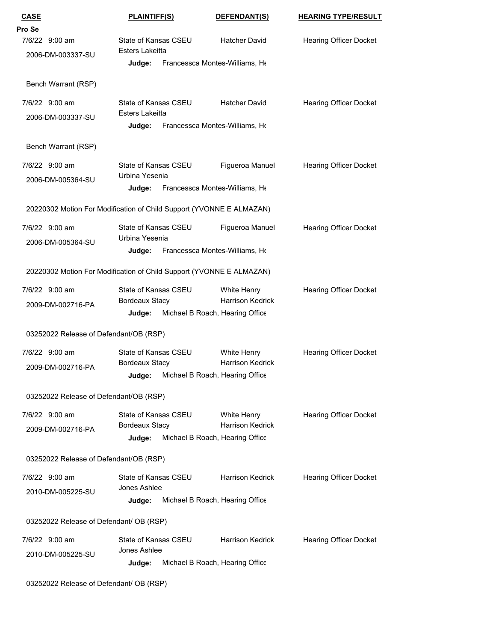| <b>CASE</b><br><u>PLAINTIFF(S)</u>                            |                                                                      | DEFENDANT(S)                                               | <b>HEARING TYPE/RESULT</b>    |  |  |  |  |  |
|---------------------------------------------------------------|----------------------------------------------------------------------|------------------------------------------------------------|-------------------------------|--|--|--|--|--|
| Pro Se                                                        |                                                                      |                                                            |                               |  |  |  |  |  |
| 7/6/22 9:00 am                                                | State of Kansas CSEU<br><b>Esters Lakeitta</b>                       | <b>Hatcher David</b>                                       | <b>Hearing Officer Docket</b> |  |  |  |  |  |
| 2006-DM-003337-SU<br>Francessca Montes-Williams, He<br>Judge: |                                                                      |                                                            |                               |  |  |  |  |  |
| Bench Warrant (RSP)                                           |                                                                      |                                                            |                               |  |  |  |  |  |
| 7/6/22 9:00 am                                                | State of Kansas CSEU                                                 | <b>Hatcher David</b>                                       | <b>Hearing Officer Docket</b> |  |  |  |  |  |
| 2006-DM-003337-SU                                             | Esters Lakeitta<br>Judge:                                            | Francessca Montes-Williams, He                             |                               |  |  |  |  |  |
| Bench Warrant (RSP)                                           |                                                                      |                                                            |                               |  |  |  |  |  |
| 7/6/22 9:00 am                                                | State of Kansas CSEU                                                 | Figueroa Manuel                                            | <b>Hearing Officer Docket</b> |  |  |  |  |  |
| 2006-DM-005364-SU                                             | Urbina Yesenia<br>Judge:                                             | Francessca Montes-Williams, He                             |                               |  |  |  |  |  |
|                                                               | 20220302 Motion For Modification of Child Support (YVONNE E ALMAZAN) |                                                            |                               |  |  |  |  |  |
|                                                               |                                                                      |                                                            |                               |  |  |  |  |  |
| 7/6/22 9:00 am<br>2006-DM-005364-SU                           | State of Kansas CSEU<br>Urbina Yesenia                               | Figueroa Manuel                                            | <b>Hearing Officer Docket</b> |  |  |  |  |  |
|                                                               | Judge:                                                               | Francessca Montes-Williams, He                             |                               |  |  |  |  |  |
|                                                               | 20220302 Motion For Modification of Child Support (YVONNE E ALMAZAN) |                                                            |                               |  |  |  |  |  |
| 7/6/22 9:00 am                                                | State of Kansas CSEU                                                 | White Henry                                                | <b>Hearing Officer Docket</b> |  |  |  |  |  |
| 2009-DM-002716-PA                                             | Bordeaux Stacy<br>Judge:                                             | <b>Harrison Kedrick</b><br>Michael B Roach, Hearing Office |                               |  |  |  |  |  |
| 03252022 Release of Defendant/OB (RSP)                        |                                                                      |                                                            |                               |  |  |  |  |  |
| 7/6/22 9:00 am                                                | State of Kansas CSEU                                                 | White Henry                                                | <b>Hearing Officer Docket</b> |  |  |  |  |  |
| 2009-DM-002716-PA                                             | Bordeaux Stacy                                                       | Harrison Kedrick                                           |                               |  |  |  |  |  |
|                                                               | Judge:                                                               | Michael B Roach, Hearing Office                            |                               |  |  |  |  |  |
| 03252022 Release of Defendant/OB (RSP)                        |                                                                      |                                                            |                               |  |  |  |  |  |
| 7/6/22 9:00 am                                                | State of Kansas CSEU                                                 | White Henry                                                | <b>Hearing Officer Docket</b> |  |  |  |  |  |
| 2009-DM-002716-PA                                             | Bordeaux Stacy<br>Judge:                                             | <b>Harrison Kedrick</b><br>Michael B Roach, Hearing Office |                               |  |  |  |  |  |
| 03252022 Release of Defendant/OB (RSP)                        |                                                                      |                                                            |                               |  |  |  |  |  |
| 7/6/22 9:00 am                                                | State of Kansas CSEU                                                 | <b>Harrison Kedrick</b>                                    | <b>Hearing Officer Docket</b> |  |  |  |  |  |
| 2010-DM-005225-SU                                             | Jones Ashlee                                                         |                                                            |                               |  |  |  |  |  |
|                                                               | Judge:                                                               | Michael B Roach, Hearing Office                            |                               |  |  |  |  |  |
| 03252022 Release of Defendant/ OB (RSP)                       |                                                                      |                                                            |                               |  |  |  |  |  |
| 7/6/22 9:00 am                                                | State of Kansas CSEU<br>Jones Ashlee                                 | <b>Harrison Kedrick</b>                                    | Hearing Officer Docket        |  |  |  |  |  |
| 2010-DM-005225-SU                                             | Judge:                                                               | Michael B Roach, Hearing Office                            |                               |  |  |  |  |  |
|                                                               |                                                                      |                                                            |                               |  |  |  |  |  |

03252022 Release of Defendant/ OB (RSP)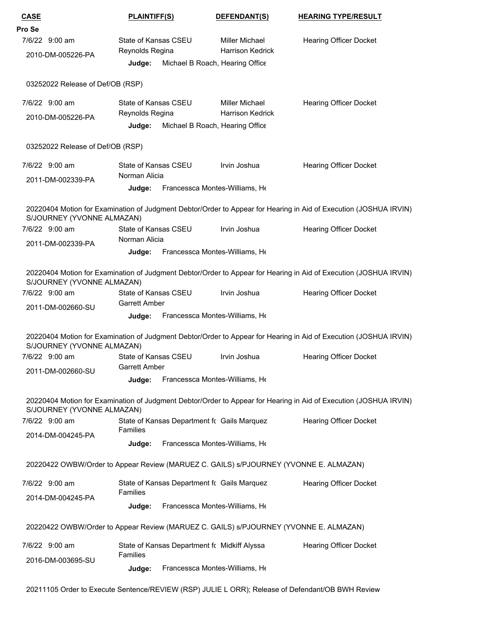| Pro Se<br>7/6/22 9:00 am<br>State of Kansas CSEU<br><b>Miller Michael</b><br><b>Hearing Officer Docket</b><br><b>Harrison Kedrick</b><br>Reynolds Regina<br>2010-DM-005226-PA<br>Michael B Roach, Hearing Office<br>Judge:<br>03252022 Release of Def/OB (RSP)<br>7/6/22 9:00 am<br>State of Kansas CSEU<br>Miller Michael<br><b>Hearing Officer Docket</b><br>Reynolds Regina<br><b>Harrison Kedrick</b><br>2010-DM-005226-PA<br>Michael B Roach, Hearing Office<br>Judge:<br>03252022 Release of Def/OB (RSP)<br>7/6/22 9:00 am<br>State of Kansas CSEU<br>Irvin Joshua<br><b>Hearing Officer Docket</b><br>Norman Alicia<br>2011-DM-002339-PA<br>Francessca Montes-Williams, He<br>Judge:<br>20220404 Motion for Examination of Judgment Debtor/Order to Appear for Hearing in Aid of Execution (JOSHUA IRVIN)<br>S/JOURNEY (YVONNE ALMAZAN)<br>7/6/22 9:00 am<br>State of Kansas CSEU<br>Irvin Joshua<br><b>Hearing Officer Docket</b><br>Norman Alicia<br>2011-DM-002339-PA<br>Francessca Montes-Williams, He<br>Judge:<br>20220404 Motion for Examination of Judgment Debtor/Order to Appear for Hearing in Aid of Execution (JOSHUA IRVIN)<br>S/JOURNEY (YVONNE ALMAZAN)<br>7/6/22 9:00 am<br>State of Kansas CSEU<br>Irvin Joshua<br>Hearing Officer Docket<br><b>Garrett Amber</b><br>2011-DM-002660-SU<br>Francessca Montes-Williams, He<br>Judge:<br>20220404 Motion for Examination of Judgment Debtor/Order to Appear for Hearing in Aid of Execution (JOSHUA IRVIN)<br>S/JOURNEY (YVONNE ALMAZAN)<br>State of Kansas CSEU<br>Irvin Joshua<br>7/6/22 9:00 am<br><b>Hearing Officer Docket</b><br><b>Garrett Amber</b><br>2011-DM-002660-SU<br>Francessca Montes-Williams, He<br>Judge:<br>20220404 Motion for Examination of Judgment Debtor/Order to Appear for Hearing in Aid of Execution (JOSHUA IRVIN)<br>S/JOURNEY (YVONNE ALMAZAN)<br>7/6/22 9:00 am<br>State of Kansas Department fc Gails Marquez<br><b>Hearing Officer Docket</b><br>Families<br>2014-DM-004245-PA<br>Francessca Montes-Williams, He<br>Judge:<br>20220422 OWBW/Order to Appear Review (MARUEZ C. GAILS) s/PJOURNEY (YVONNE E. ALMAZAN)<br>7/6/22 9:00 am<br>State of Kansas Department fc Gails Marquez<br><b>Hearing Officer Docket</b><br><b>Families</b><br>2014-DM-004245-PA<br>Francessca Montes-Williams, He<br>Judge:<br>20220422 OWBW/Order to Appear Review (MARUEZ C. GAILS) s/PJOURNEY (YVONNE E. ALMAZAN)<br>State of Kansas Department fc Midkiff Alyssa | <b>CASE</b>    | <b>PLAINTIFF(S)</b> |  | DEFENDANT(S) | <b>HEARING TYPE/RESULT</b> |
|---------------------------------------------------------------------------------------------------------------------------------------------------------------------------------------------------------------------------------------------------------------------------------------------------------------------------------------------------------------------------------------------------------------------------------------------------------------------------------------------------------------------------------------------------------------------------------------------------------------------------------------------------------------------------------------------------------------------------------------------------------------------------------------------------------------------------------------------------------------------------------------------------------------------------------------------------------------------------------------------------------------------------------------------------------------------------------------------------------------------------------------------------------------------------------------------------------------------------------------------------------------------------------------------------------------------------------------------------------------------------------------------------------------------------------------------------------------------------------------------------------------------------------------------------------------------------------------------------------------------------------------------------------------------------------------------------------------------------------------------------------------------------------------------------------------------------------------------------------------------------------------------------------------------------------------------------------------------------------------------------------------------------------------------------------------------------------------------------------------------------------------------------------------------------------------------------------------------------------------------------------------------------------------------------------------------------------------------------------------------------------------------------------------------------------------------------------------|----------------|---------------------|--|--------------|----------------------------|
|                                                                                                                                                                                                                                                                                                                                                                                                                                                                                                                                                                                                                                                                                                                                                                                                                                                                                                                                                                                                                                                                                                                                                                                                                                                                                                                                                                                                                                                                                                                                                                                                                                                                                                                                                                                                                                                                                                                                                                                                                                                                                                                                                                                                                                                                                                                                                                                                                                                               |                |                     |  |              |                            |
|                                                                                                                                                                                                                                                                                                                                                                                                                                                                                                                                                                                                                                                                                                                                                                                                                                                                                                                                                                                                                                                                                                                                                                                                                                                                                                                                                                                                                                                                                                                                                                                                                                                                                                                                                                                                                                                                                                                                                                                                                                                                                                                                                                                                                                                                                                                                                                                                                                                               |                |                     |  |              |                            |
|                                                                                                                                                                                                                                                                                                                                                                                                                                                                                                                                                                                                                                                                                                                                                                                                                                                                                                                                                                                                                                                                                                                                                                                                                                                                                                                                                                                                                                                                                                                                                                                                                                                                                                                                                                                                                                                                                                                                                                                                                                                                                                                                                                                                                                                                                                                                                                                                                                                               |                |                     |  |              |                            |
|                                                                                                                                                                                                                                                                                                                                                                                                                                                                                                                                                                                                                                                                                                                                                                                                                                                                                                                                                                                                                                                                                                                                                                                                                                                                                                                                                                                                                                                                                                                                                                                                                                                                                                                                                                                                                                                                                                                                                                                                                                                                                                                                                                                                                                                                                                                                                                                                                                                               |                |                     |  |              |                            |
|                                                                                                                                                                                                                                                                                                                                                                                                                                                                                                                                                                                                                                                                                                                                                                                                                                                                                                                                                                                                                                                                                                                                                                                                                                                                                                                                                                                                                                                                                                                                                                                                                                                                                                                                                                                                                                                                                                                                                                                                                                                                                                                                                                                                                                                                                                                                                                                                                                                               |                |                     |  |              |                            |
|                                                                                                                                                                                                                                                                                                                                                                                                                                                                                                                                                                                                                                                                                                                                                                                                                                                                                                                                                                                                                                                                                                                                                                                                                                                                                                                                                                                                                                                                                                                                                                                                                                                                                                                                                                                                                                                                                                                                                                                                                                                                                                                                                                                                                                                                                                                                                                                                                                                               |                |                     |  |              |                            |
|                                                                                                                                                                                                                                                                                                                                                                                                                                                                                                                                                                                                                                                                                                                                                                                                                                                                                                                                                                                                                                                                                                                                                                                                                                                                                                                                                                                                                                                                                                                                                                                                                                                                                                                                                                                                                                                                                                                                                                                                                                                                                                                                                                                                                                                                                                                                                                                                                                                               |                |                     |  |              |                            |
|                                                                                                                                                                                                                                                                                                                                                                                                                                                                                                                                                                                                                                                                                                                                                                                                                                                                                                                                                                                                                                                                                                                                                                                                                                                                                                                                                                                                                                                                                                                                                                                                                                                                                                                                                                                                                                                                                                                                                                                                                                                                                                                                                                                                                                                                                                                                                                                                                                                               |                |                     |  |              |                            |
|                                                                                                                                                                                                                                                                                                                                                                                                                                                                                                                                                                                                                                                                                                                                                                                                                                                                                                                                                                                                                                                                                                                                                                                                                                                                                                                                                                                                                                                                                                                                                                                                                                                                                                                                                                                                                                                                                                                                                                                                                                                                                                                                                                                                                                                                                                                                                                                                                                                               |                |                     |  |              |                            |
|                                                                                                                                                                                                                                                                                                                                                                                                                                                                                                                                                                                                                                                                                                                                                                                                                                                                                                                                                                                                                                                                                                                                                                                                                                                                                                                                                                                                                                                                                                                                                                                                                                                                                                                                                                                                                                                                                                                                                                                                                                                                                                                                                                                                                                                                                                                                                                                                                                                               |                |                     |  |              |                            |
|                                                                                                                                                                                                                                                                                                                                                                                                                                                                                                                                                                                                                                                                                                                                                                                                                                                                                                                                                                                                                                                                                                                                                                                                                                                                                                                                                                                                                                                                                                                                                                                                                                                                                                                                                                                                                                                                                                                                                                                                                                                                                                                                                                                                                                                                                                                                                                                                                                                               |                |                     |  |              |                            |
|                                                                                                                                                                                                                                                                                                                                                                                                                                                                                                                                                                                                                                                                                                                                                                                                                                                                                                                                                                                                                                                                                                                                                                                                                                                                                                                                                                                                                                                                                                                                                                                                                                                                                                                                                                                                                                                                                                                                                                                                                                                                                                                                                                                                                                                                                                                                                                                                                                                               |                |                     |  |              |                            |
|                                                                                                                                                                                                                                                                                                                                                                                                                                                                                                                                                                                                                                                                                                                                                                                                                                                                                                                                                                                                                                                                                                                                                                                                                                                                                                                                                                                                                                                                                                                                                                                                                                                                                                                                                                                                                                                                                                                                                                                                                                                                                                                                                                                                                                                                                                                                                                                                                                                               |                |                     |  |              |                            |
|                                                                                                                                                                                                                                                                                                                                                                                                                                                                                                                                                                                                                                                                                                                                                                                                                                                                                                                                                                                                                                                                                                                                                                                                                                                                                                                                                                                                                                                                                                                                                                                                                                                                                                                                                                                                                                                                                                                                                                                                                                                                                                                                                                                                                                                                                                                                                                                                                                                               |                |                     |  |              |                            |
|                                                                                                                                                                                                                                                                                                                                                                                                                                                                                                                                                                                                                                                                                                                                                                                                                                                                                                                                                                                                                                                                                                                                                                                                                                                                                                                                                                                                                                                                                                                                                                                                                                                                                                                                                                                                                                                                                                                                                                                                                                                                                                                                                                                                                                                                                                                                                                                                                                                               |                |                     |  |              |                            |
|                                                                                                                                                                                                                                                                                                                                                                                                                                                                                                                                                                                                                                                                                                                                                                                                                                                                                                                                                                                                                                                                                                                                                                                                                                                                                                                                                                                                                                                                                                                                                                                                                                                                                                                                                                                                                                                                                                                                                                                                                                                                                                                                                                                                                                                                                                                                                                                                                                                               |                |                     |  |              |                            |
|                                                                                                                                                                                                                                                                                                                                                                                                                                                                                                                                                                                                                                                                                                                                                                                                                                                                                                                                                                                                                                                                                                                                                                                                                                                                                                                                                                                                                                                                                                                                                                                                                                                                                                                                                                                                                                                                                                                                                                                                                                                                                                                                                                                                                                                                                                                                                                                                                                                               |                |                     |  |              |                            |
|                                                                                                                                                                                                                                                                                                                                                                                                                                                                                                                                                                                                                                                                                                                                                                                                                                                                                                                                                                                                                                                                                                                                                                                                                                                                                                                                                                                                                                                                                                                                                                                                                                                                                                                                                                                                                                                                                                                                                                                                                                                                                                                                                                                                                                                                                                                                                                                                                                                               |                |                     |  |              |                            |
|                                                                                                                                                                                                                                                                                                                                                                                                                                                                                                                                                                                                                                                                                                                                                                                                                                                                                                                                                                                                                                                                                                                                                                                                                                                                                                                                                                                                                                                                                                                                                                                                                                                                                                                                                                                                                                                                                                                                                                                                                                                                                                                                                                                                                                                                                                                                                                                                                                                               |                |                     |  |              |                            |
|                                                                                                                                                                                                                                                                                                                                                                                                                                                                                                                                                                                                                                                                                                                                                                                                                                                                                                                                                                                                                                                                                                                                                                                                                                                                                                                                                                                                                                                                                                                                                                                                                                                                                                                                                                                                                                                                                                                                                                                                                                                                                                                                                                                                                                                                                                                                                                                                                                                               |                |                     |  |              |                            |
|                                                                                                                                                                                                                                                                                                                                                                                                                                                                                                                                                                                                                                                                                                                                                                                                                                                                                                                                                                                                                                                                                                                                                                                                                                                                                                                                                                                                                                                                                                                                                                                                                                                                                                                                                                                                                                                                                                                                                                                                                                                                                                                                                                                                                                                                                                                                                                                                                                                               |                |                     |  |              |                            |
|                                                                                                                                                                                                                                                                                                                                                                                                                                                                                                                                                                                                                                                                                                                                                                                                                                                                                                                                                                                                                                                                                                                                                                                                                                                                                                                                                                                                                                                                                                                                                                                                                                                                                                                                                                                                                                                                                                                                                                                                                                                                                                                                                                                                                                                                                                                                                                                                                                                               |                |                     |  |              |                            |
|                                                                                                                                                                                                                                                                                                                                                                                                                                                                                                                                                                                                                                                                                                                                                                                                                                                                                                                                                                                                                                                                                                                                                                                                                                                                                                                                                                                                                                                                                                                                                                                                                                                                                                                                                                                                                                                                                                                                                                                                                                                                                                                                                                                                                                                                                                                                                                                                                                                               |                |                     |  |              |                            |
|                                                                                                                                                                                                                                                                                                                                                                                                                                                                                                                                                                                                                                                                                                                                                                                                                                                                                                                                                                                                                                                                                                                                                                                                                                                                                                                                                                                                                                                                                                                                                                                                                                                                                                                                                                                                                                                                                                                                                                                                                                                                                                                                                                                                                                                                                                                                                                                                                                                               |                |                     |  |              |                            |
|                                                                                                                                                                                                                                                                                                                                                                                                                                                                                                                                                                                                                                                                                                                                                                                                                                                                                                                                                                                                                                                                                                                                                                                                                                                                                                                                                                                                                                                                                                                                                                                                                                                                                                                                                                                                                                                                                                                                                                                                                                                                                                                                                                                                                                                                                                                                                                                                                                                               |                |                     |  |              |                            |
|                                                                                                                                                                                                                                                                                                                                                                                                                                                                                                                                                                                                                                                                                                                                                                                                                                                                                                                                                                                                                                                                                                                                                                                                                                                                                                                                                                                                                                                                                                                                                                                                                                                                                                                                                                                                                                                                                                                                                                                                                                                                                                                                                                                                                                                                                                                                                                                                                                                               |                |                     |  |              |                            |
|                                                                                                                                                                                                                                                                                                                                                                                                                                                                                                                                                                                                                                                                                                                                                                                                                                                                                                                                                                                                                                                                                                                                                                                                                                                                                                                                                                                                                                                                                                                                                                                                                                                                                                                                                                                                                                                                                                                                                                                                                                                                                                                                                                                                                                                                                                                                                                                                                                                               |                |                     |  |              |                            |
|                                                                                                                                                                                                                                                                                                                                                                                                                                                                                                                                                                                                                                                                                                                                                                                                                                                                                                                                                                                                                                                                                                                                                                                                                                                                                                                                                                                                                                                                                                                                                                                                                                                                                                                                                                                                                                                                                                                                                                                                                                                                                                                                                                                                                                                                                                                                                                                                                                                               |                |                     |  |              |                            |
|                                                                                                                                                                                                                                                                                                                                                                                                                                                                                                                                                                                                                                                                                                                                                                                                                                                                                                                                                                                                                                                                                                                                                                                                                                                                                                                                                                                                                                                                                                                                                                                                                                                                                                                                                                                                                                                                                                                                                                                                                                                                                                                                                                                                                                                                                                                                                                                                                                                               |                |                     |  |              |                            |
|                                                                                                                                                                                                                                                                                                                                                                                                                                                                                                                                                                                                                                                                                                                                                                                                                                                                                                                                                                                                                                                                                                                                                                                                                                                                                                                                                                                                                                                                                                                                                                                                                                                                                                                                                                                                                                                                                                                                                                                                                                                                                                                                                                                                                                                                                                                                                                                                                                                               |                |                     |  |              |                            |
|                                                                                                                                                                                                                                                                                                                                                                                                                                                                                                                                                                                                                                                                                                                                                                                                                                                                                                                                                                                                                                                                                                                                                                                                                                                                                                                                                                                                                                                                                                                                                                                                                                                                                                                                                                                                                                                                                                                                                                                                                                                                                                                                                                                                                                                                                                                                                                                                                                                               |                |                     |  |              |                            |
|                                                                                                                                                                                                                                                                                                                                                                                                                                                                                                                                                                                                                                                                                                                                                                                                                                                                                                                                                                                                                                                                                                                                                                                                                                                                                                                                                                                                                                                                                                                                                                                                                                                                                                                                                                                                                                                                                                                                                                                                                                                                                                                                                                                                                                                                                                                                                                                                                                                               |                |                     |  |              |                            |
| Families                                                                                                                                                                                                                                                                                                                                                                                                                                                                                                                                                                                                                                                                                                                                                                                                                                                                                                                                                                                                                                                                                                                                                                                                                                                                                                                                                                                                                                                                                                                                                                                                                                                                                                                                                                                                                                                                                                                                                                                                                                                                                                                                                                                                                                                                                                                                                                                                                                                      | 7/6/22 9:00 am |                     |  |              | Hearing Officer Docket     |
| 2016-DM-003695-SU<br>Francessca Montes-Williams, He<br>Judge:                                                                                                                                                                                                                                                                                                                                                                                                                                                                                                                                                                                                                                                                                                                                                                                                                                                                                                                                                                                                                                                                                                                                                                                                                                                                                                                                                                                                                                                                                                                                                                                                                                                                                                                                                                                                                                                                                                                                                                                                                                                                                                                                                                                                                                                                                                                                                                                                 |                |                     |  |              |                            |

20211105 Order to Execute Sentence/REVIEW (RSP) JULIE L ORR); Release of Defendant/OB BWH Review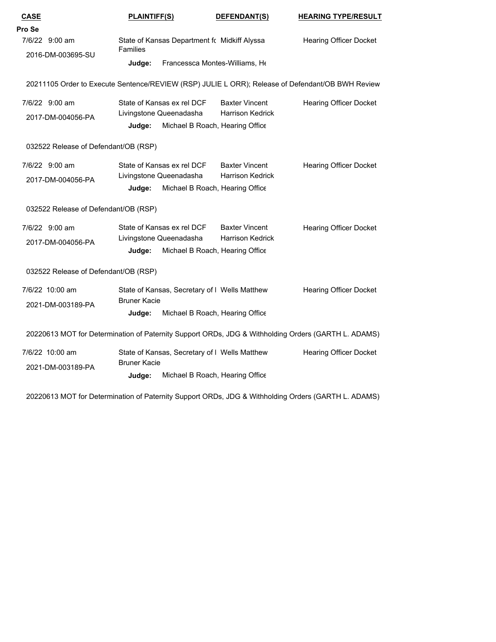| <b>CASE</b>                                                                                         | <b>PLAINTIFF(S)</b>                       |                                              | DEFENDANT(S)                                  | <b>HEARING TYPE/RESULT</b>    |  |
|-----------------------------------------------------------------------------------------------------|-------------------------------------------|----------------------------------------------|-----------------------------------------------|-------------------------------|--|
| Pro Se                                                                                              |                                           |                                              |                                               |                               |  |
| 7/6/22 9:00 am                                                                                      | <b>Families</b>                           | State of Kansas Department fc Midkiff Alyssa |                                               | <b>Hearing Officer Docket</b> |  |
| 2016-DM-003695-SU                                                                                   | Judge:                                    | Francessca Montes-Williams, He               |                                               |                               |  |
|                                                                                                     |                                           |                                              |                                               |                               |  |
| 20211105 Order to Execute Sentence/REVIEW (RSP) JULIE L ORR); Release of Defendant/OB BWH Review    |                                           |                                              |                                               |                               |  |
| 7/6/22 9:00 am                                                                                      | State of Kansas ex rel DCF                |                                              | <b>Baxter Vincent</b>                         | <b>Hearing Officer Docket</b> |  |
| 2017-DM-004056-PA                                                                                   | Livingstone Queenadasha                   |                                              | <b>Harrison Kedrick</b>                       |                               |  |
|                                                                                                     | Judge:                                    | Michael B Roach, Hearing Office              |                                               |                               |  |
| 032522 Release of Defendant/OB (RSP)                                                                |                                           |                                              |                                               |                               |  |
| 7/6/22 9:00 am                                                                                      | State of Kansas ex rel DCF                |                                              | <b>Baxter Vincent</b>                         | <b>Hearing Officer Docket</b> |  |
| 2017-DM-004056-PA                                                                                   | Livingstone Queenadasha                   |                                              | <b>Harrison Kedrick</b>                       |                               |  |
|                                                                                                     | Judge:                                    | Michael B Roach, Hearing Office              |                                               |                               |  |
| 032522 Release of Defendant/OB (RSP)                                                                |                                           |                                              |                                               |                               |  |
| 7/6/22 9:00 am                                                                                      | State of Kansas ex rel DCF                |                                              | <b>Baxter Vincent</b>                         | <b>Hearing Officer Docket</b> |  |
| 2017-DM-004056-PA                                                                                   | Livingstone Queenadasha                   |                                              | <b>Harrison Kedrick</b>                       |                               |  |
|                                                                                                     | Michael B Roach, Hearing Office<br>Judge: |                                              |                                               |                               |  |
| 032522 Release of Defendant/OB (RSP)                                                                |                                           |                                              |                                               |                               |  |
| 7/6/22 10:00 am                                                                                     |                                           |                                              | State of Kansas, Secretary of I Wells Matthew | <b>Hearing Officer Docket</b> |  |
| 2021-DM-003189-PA                                                                                   | <b>Bruner Kacie</b>                       |                                              |                                               |                               |  |
|                                                                                                     | Judge:                                    | Michael B Roach, Hearing Office              |                                               |                               |  |
| 20220613 MOT for Determination of Paternity Support ORDs, JDG & Withholding Orders (GARTH L. ADAMS) |                                           |                                              |                                               |                               |  |
| 7/6/22 10:00 am                                                                                     |                                           |                                              | State of Kansas, Secretary of I Wells Matthew | <b>Hearing Officer Docket</b> |  |
| 2021-DM-003189-PA                                                                                   | <b>Bruner Kacie</b>                       |                                              |                                               |                               |  |
|                                                                                                     | Judge:                                    | Michael B Roach, Hearing Office              |                                               |                               |  |
| 20220613 MOT for Determination of Paternity Support ORDs, JDG & Withholding Orders (GARTH L. ADAMS) |                                           |                                              |                                               |                               |  |